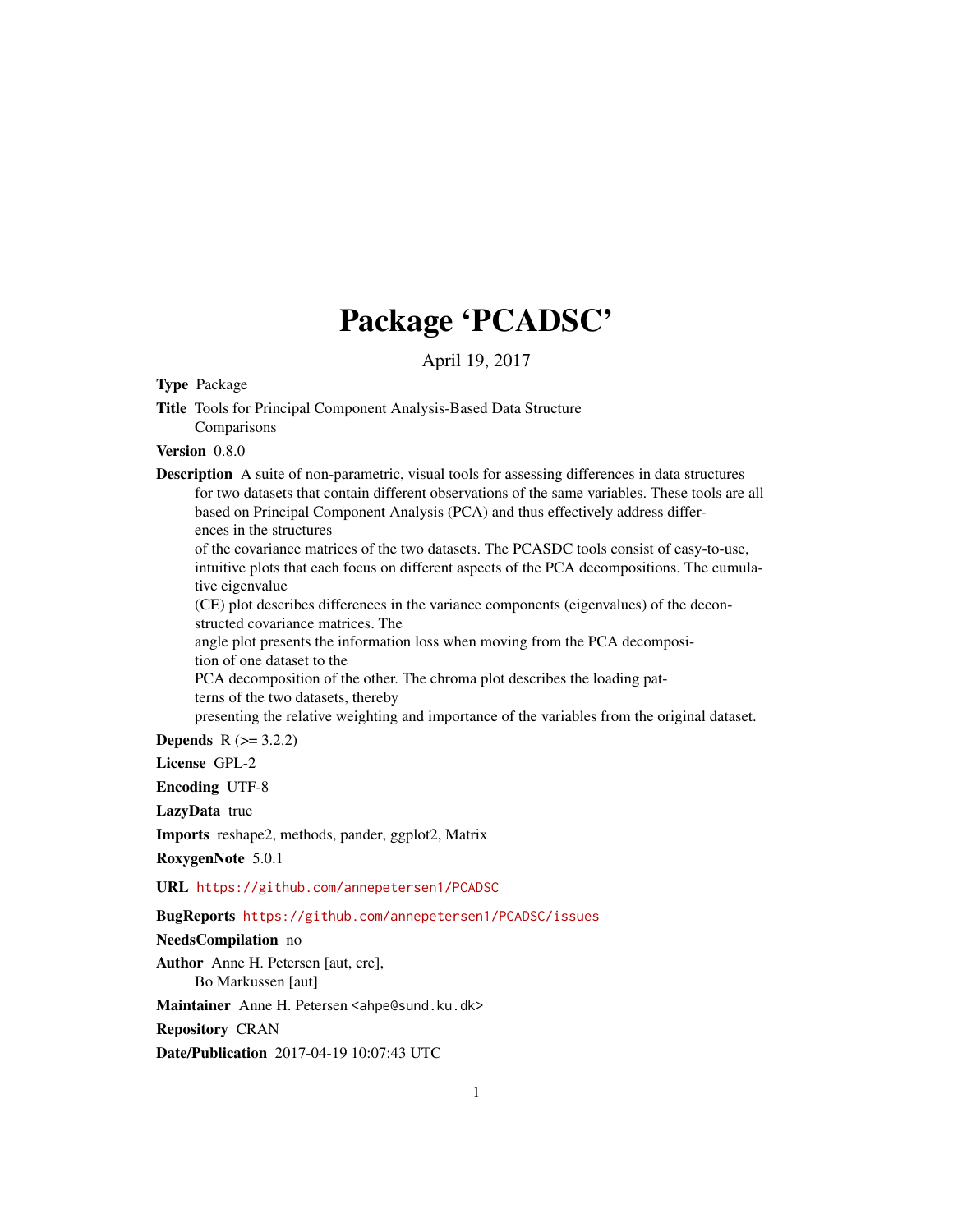## Package 'PCADSC'

April 19, 2017

<span id="page-0-0"></span>Type Package

Title Tools for Principal Component Analysis-Based Data Structure Comparisons

#### Version 0.8.0

Description A suite of non-parametric, visual tools for assessing differences in data structures for two datasets that contain different observations of the same variables. These tools are all based on Principal Component Analysis (PCA) and thus effectively address differences in the structures

of the covariance matrices of the two datasets. The PCASDC tools consist of easy-to-use, intuitive plots that each focus on different aspects of the PCA decompositions. The cumulative eigenvalue

(CE) plot describes differences in the variance components (eigenvalues) of the deconstructed covariance matrices. The

angle plot presents the information loss when moving from the PCA decomposition of one dataset to the

PCA decomposition of the other. The chroma plot describes the loading patterns of the two datasets, thereby

presenting the relative weighting and importance of the variables from the original dataset.

**Depends**  $R (= 3.2.2)$ 

License GPL-2

Encoding UTF-8

LazyData true

Imports reshape2, methods, pander, ggplot2, Matrix

RoxygenNote 5.0.1

URL <https://github.com/annepetersen1/PCADSC>

BugReports <https://github.com/annepetersen1/PCADSC/issues>

NeedsCompilation no

Author Anne H. Petersen [aut, cre], Bo Markussen [aut]

Maintainer Anne H. Petersen <ahpe@sund.ku.dk>

Repository CRAN

Date/Publication 2017-04-19 10:07:43 UTC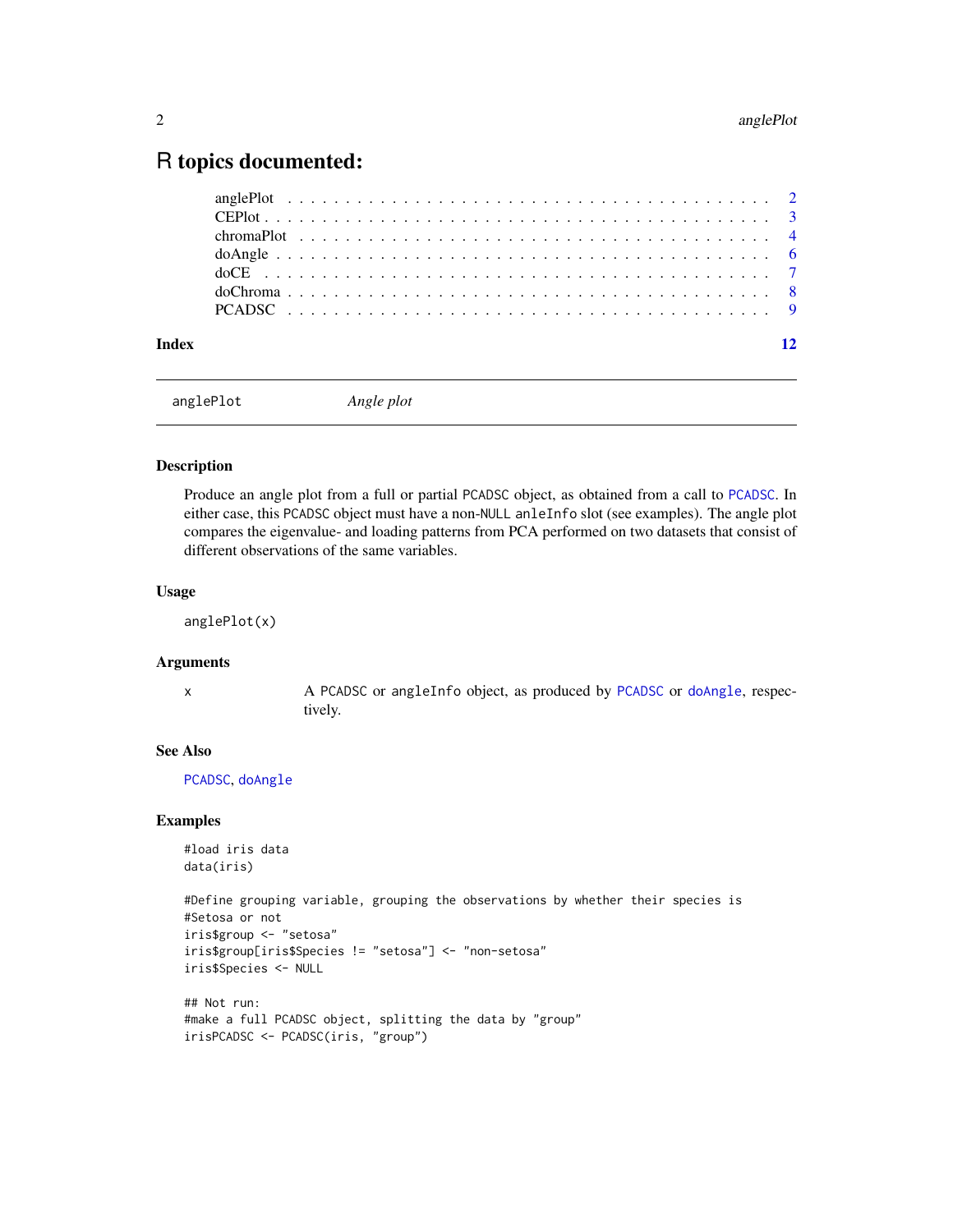### <span id="page-1-0"></span>R topics documented:

| Index |  |  |  |  |  |  |  |  |  |  |  |  |  |  |  |  |  |  |  |  |
|-------|--|--|--|--|--|--|--|--|--|--|--|--|--|--|--|--|--|--|--|--|
|       |  |  |  |  |  |  |  |  |  |  |  |  |  |  |  |  |  |  |  |  |

anglePlot *Angle plot*

#### Description

Produce an angle plot from a full or partial PCADSC object, as obtained from a call to [PCADSC](#page-8-1). In either case, this PCADSC object must have a non-NULL anleInfo slot (see examples). The angle plot compares the eigenvalue- and loading patterns from PCA performed on two datasets that consist of different observations of the same variables.

#### Usage

anglePlot(x)

#### Arguments

x A PCADSC or angleInfo object, as produced by [PCADSC](#page-8-1) or [doAngle](#page-5-1), respectively.

#### See Also

[PCADSC](#page-8-1), [doAngle](#page-5-1)

#### Examples

```
#load iris data
data(iris)
```

```
#Define grouping variable, grouping the observations by whether their species is
#Setosa or not
iris$group <- "setosa"
iris$group[iris$Species != "setosa"] <- "non-setosa"
iris$Species <- NULL
```

```
## Not run:
```

```
#make a full PCADSC object, splitting the data by "group"
irisPCADSC <- PCADSC(iris, "group")
```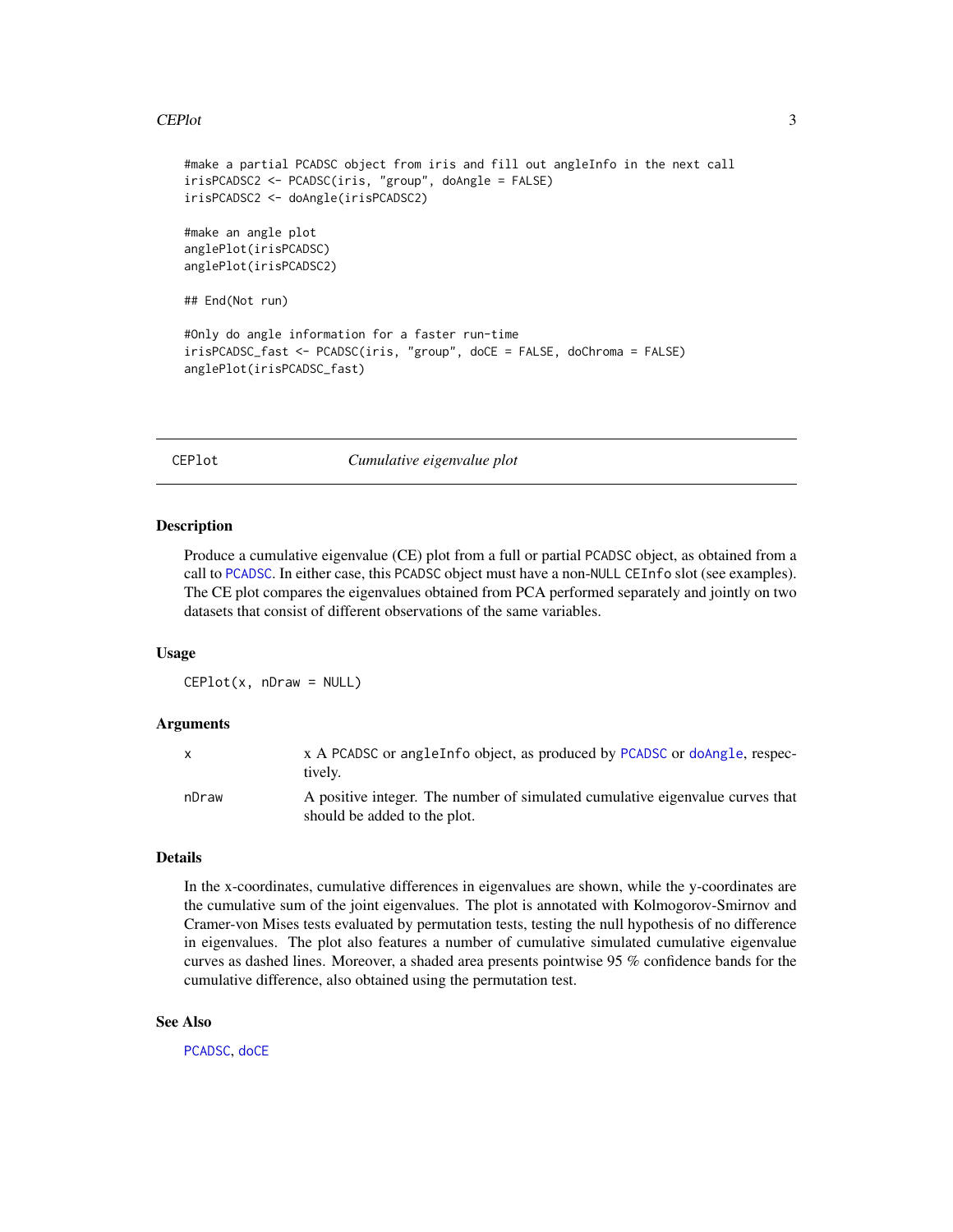#### <span id="page-2-0"></span> $CEPlot$  3

```
#make a partial PCADSC object from iris and fill out angleInfo in the next call
irisPCADSC2 <- PCADSC(iris, "group", doAngle = FALSE)
irisPCADSC2 <- doAngle(irisPCADSC2)
#make an angle plot
anglePlot(irisPCADSC)
anglePlot(irisPCADSC2)
## End(Not run)
#Only do angle information for a faster run-time
irisPCADSC_fast <- PCADSC(iris, "group", doCE = FALSE, doChroma = FALSE)
anglePlot(irisPCADSC_fast)
```
CEPlot *Cumulative eigenvalue plot*

#### Description

Produce a cumulative eigenvalue (CE) plot from a full or partial PCADSC object, as obtained from a call to [PCADSC](#page-8-1). In either case, this PCADSC object must have a non-NULL CEInfo slot (see examples). The CE plot compares the eigenvalues obtained from PCA performed separately and jointly on two datasets that consist of different observations of the same variables.

#### Usage

 $CEPlot(x, nDraw = NULL)$ 

#### Arguments

| X     | x A PCADSC or angle Info object, as produced by PCADSC or doAngle, respec-<br>tively.                         |
|-------|---------------------------------------------------------------------------------------------------------------|
| nDraw | A positive integer. The number of simulated cumulative eigenvalue curves that<br>should be added to the plot. |

#### Details

In the x-coordinates, cumulative differences in eigenvalues are shown, while the y-coordinates are the cumulative sum of the joint eigenvalues. The plot is annotated with Kolmogorov-Smirnov and Cramer-von Mises tests evaluated by permutation tests, testing the null hypothesis of no difference in eigenvalues. The plot also features a number of cumulative simulated cumulative eigenvalue curves as dashed lines. Moreover, a shaded area presents pointwise 95 % confidence bands for the cumulative difference, also obtained using the permutation test.

#### See Also

[PCADSC](#page-8-1), [doCE](#page-6-1)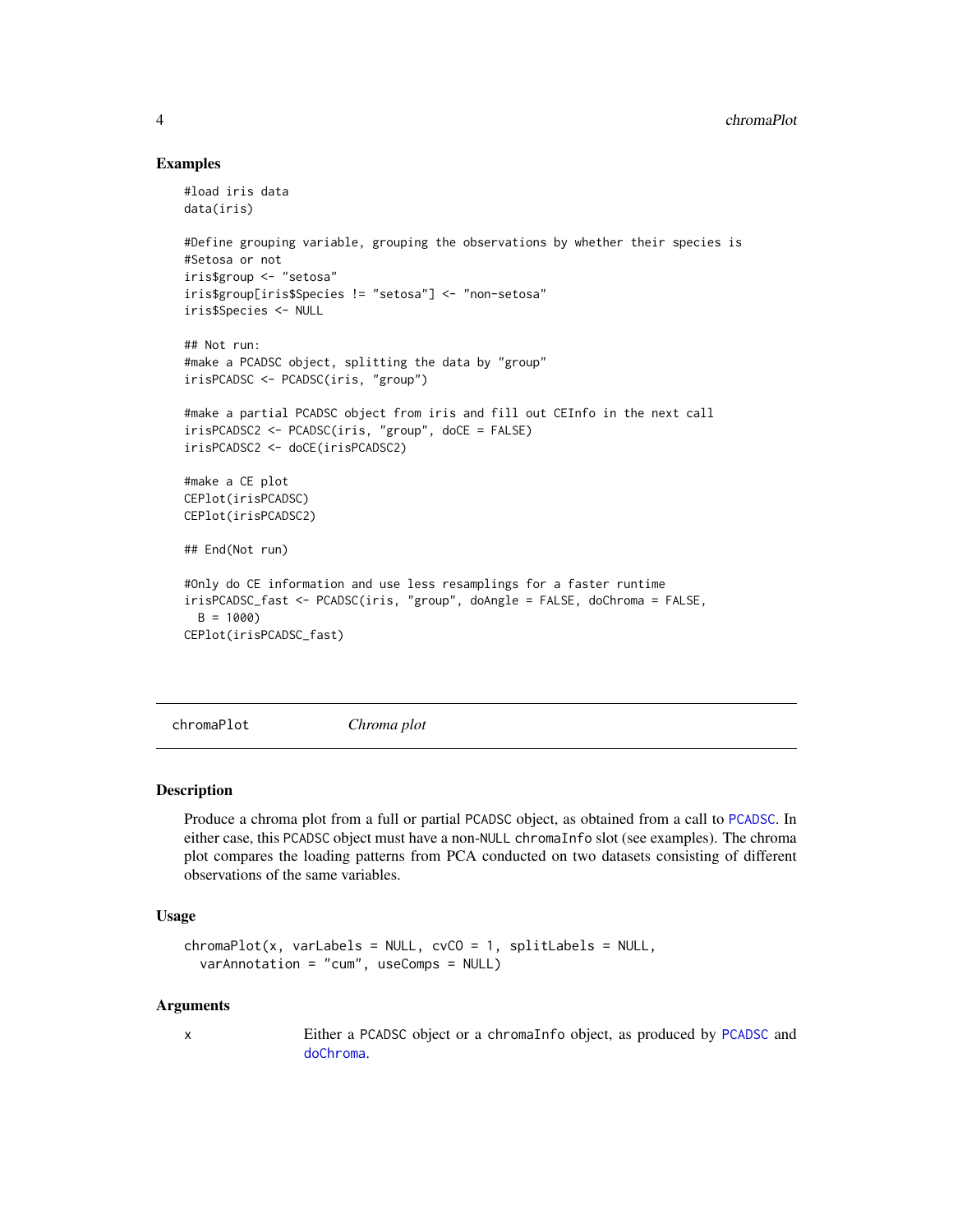#### Examples

```
#load iris data
data(iris)
#Define grouping variable, grouping the observations by whether their species is
#Setosa or not
iris$group <- "setosa"
iris$group[iris$Species != "setosa"] <- "non-setosa"
iris$Species <- NULL
## Not run:
#make a PCADSC object, splitting the data by "group"
irisPCADSC <- PCADSC(iris, "group")
#make a partial PCADSC object from iris and fill out CEInfo in the next call
irisPCADSC2 <- PCADSC(iris, "group", doCE = FALSE)
irisPCADSC2 <- doCE(irisPCADSC2)
#make a CE plot
CEPlot(irisPCADSC)
CEPlot(irisPCADSC2)
## End(Not run)
#Only do CE information and use less resamplings for a faster runtime
irisPCADSC_fast <- PCADSC(iris, "group", doAngle = FALSE, doChroma = FALSE,
 B = 1000CEPlot(irisPCADSC_fast)
```
<span id="page-3-1"></span>chromaPlot *Chroma plot*

#### Description

Produce a chroma plot from a full or partial PCADSC object, as obtained from a call to [PCADSC](#page-8-1). In either case, this PCADSC object must have a non-NULL chromaInfo slot (see examples). The chroma plot compares the loading patterns from PCA conducted on two datasets consisting of different observations of the same variables.

#### Usage

```
chromaPlot(x, varLabels = NULL, cvCO = 1, splitLabels = NULL,
  varAnnotation = "cum", useComps = NULL)
```
#### Arguments

x Either a PCADSC object or a chromaInfo object, as produced by [PCADSC](#page-8-1) and [doChroma](#page-7-1).

<span id="page-3-0"></span>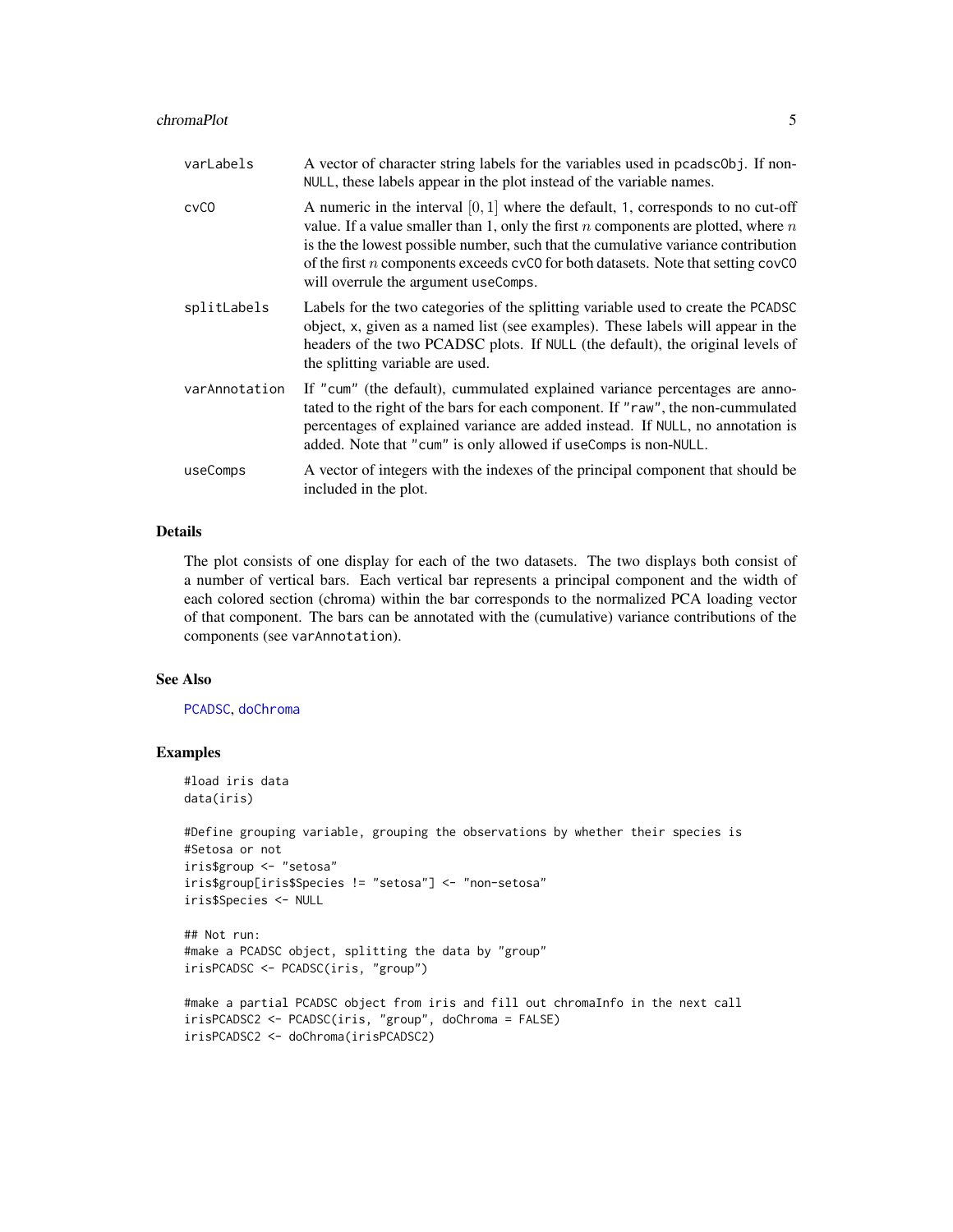<span id="page-4-0"></span>

| varLabels        | A vector of character string labels for the variables used in pcadsc0bj. If non-<br>NULL, these labels appear in the plot instead of the variable names.                                                                                                                                                                                                                                             |
|------------------|------------------------------------------------------------------------------------------------------------------------------------------------------------------------------------------------------------------------------------------------------------------------------------------------------------------------------------------------------------------------------------------------------|
| cy <sub>CO</sub> | A numeric in the interval $[0, 1]$ where the default, 1, corresponds to no cut-off<br>value. If a value smaller than 1, only the first $n$ components are plotted, where $n$<br>is the the lowest possible number, such that the cumulative variance contribution<br>of the first $n$ components exceeds $cvCO$ for both datasets. Note that setting $covCO$<br>will overrule the argument useComps. |
| splitLabels      | Labels for the two categories of the splitting variable used to create the PCADSC<br>object, x, given as a named list (see examples). These labels will appear in the<br>headers of the two PCADSC plots. If NULL (the default), the original levels of<br>the splitting variable are used.                                                                                                          |
| varAnnotation    | If "cum" (the default), cummulated explained variance percentages are anno-<br>tated to the right of the bars for each component. If "raw", the non-cummulated<br>percentages of explained variance are added instead. If NULL, no annotation is<br>added. Note that "cum" is only allowed if useComps is non-NULL.                                                                                  |
| useComps         | A vector of integers with the indexes of the principal component that should be<br>included in the plot.                                                                                                                                                                                                                                                                                             |

#### Details

The plot consists of one display for each of the two datasets. The two displays both consist of a number of vertical bars. Each vertical bar represents a principal component and the width of each colored section (chroma) within the bar corresponds to the normalized PCA loading vector of that component. The bars can be annotated with the (cumulative) variance contributions of the components (see varAnnotation).

#### See Also

[PCADSC](#page-8-1), [doChroma](#page-7-1)

#### Examples

```
#load iris data
data(iris)
```

```
#Define grouping variable, grouping the observations by whether their species is
#Setosa or not
iris$group <- "setosa"
iris$group[iris$Species != "setosa"] <- "non-setosa"
iris$Species <- NULL
```

```
## Not run:
#make a PCADSC object, splitting the data by "group"
irisPCADSC <- PCADSC(iris, "group")
```

```
#make a partial PCADSC object from iris and fill out chromaInfo in the next call
irisPCADSC2 <- PCADSC(iris, "group", doChroma = FALSE)
irisPCADSC2 <- doChroma(irisPCADSC2)
```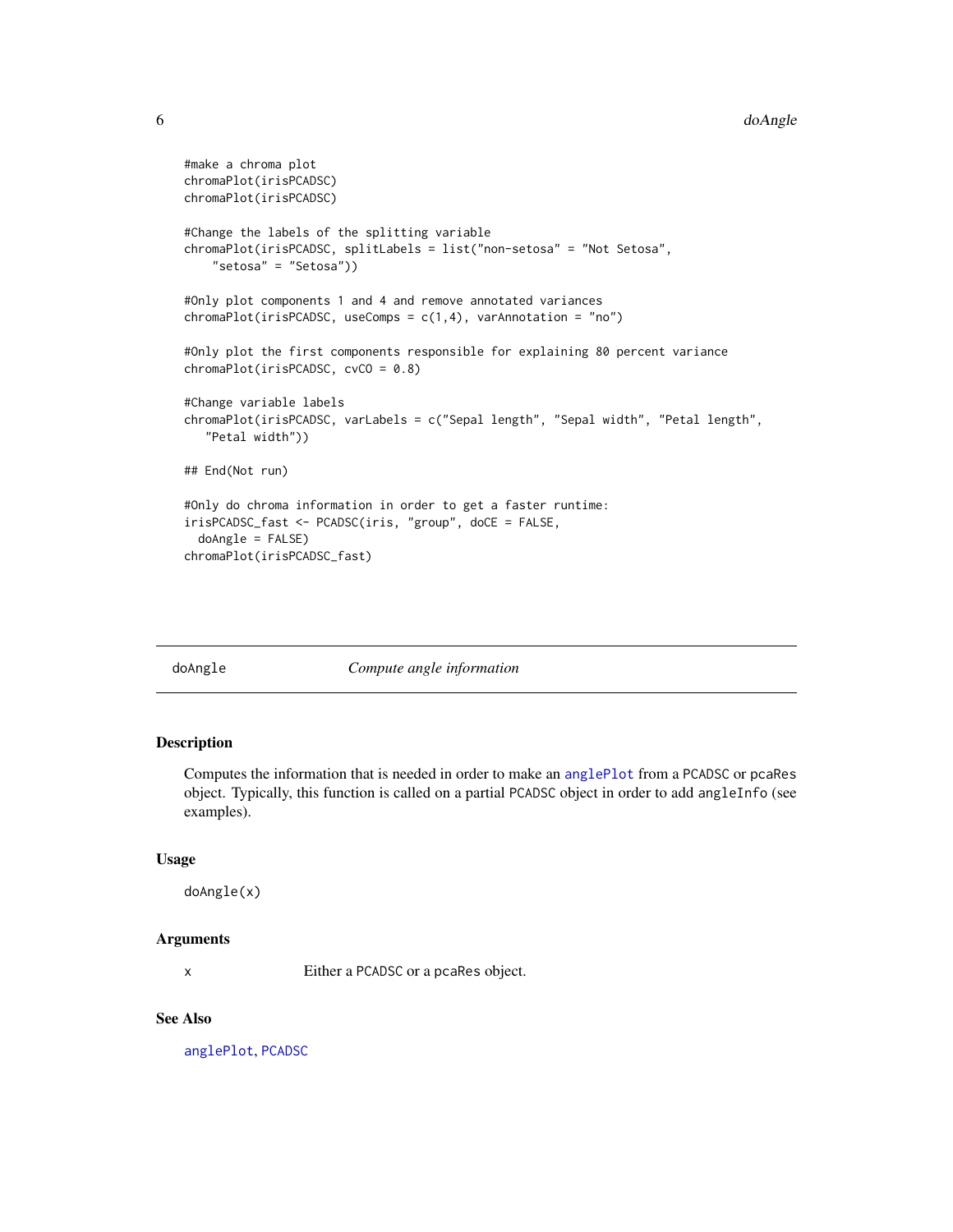```
#make a chroma plot
chromaPlot(irisPCADSC)
chromaPlot(irisPCADSC)
#Change the labels of the splitting variable
chromaPlot(irisPCADSC, splitLabels = list("non-setosa" = "Not Setosa",
    "setosa" = "Setosa"))
#Only plot components 1 and 4 and remove annotated variances
chromaPlot(irisPCADSC, useComps = c(1,4), varAnnotation = "no")
#Only plot the first components responsible for explaining 80 percent variance
chromaPlot(irisPCADSC, cvCO = 0.8)
#Change variable labels
chromaPlot(irisPCADSC, varLabels = c("Sepal length", "Sepal width", "Petal length",
   "Petal width"))
## End(Not run)
#Only do chroma information in order to get a faster runtime:
irisPCADSC_fast <- PCADSC(iris, "group", doCE = FALSE,
 doAngle = FALSE)
chromaPlot(irisPCADSC_fast)
```
<span id="page-5-1"></span>doAngle *Compute angle information*

#### Description

Computes the information that is needed in order to make an [anglePlot](#page-1-1) from a PCADSC or pcaRes object. Typically, this function is called on a partial PCADSC object in order to add angleInfo (see examples).

#### Usage

doAngle(x)

#### Arguments

x Either a PCADSC or a pcaRes object.

#### See Also

[anglePlot](#page-1-1), [PCADSC](#page-8-1)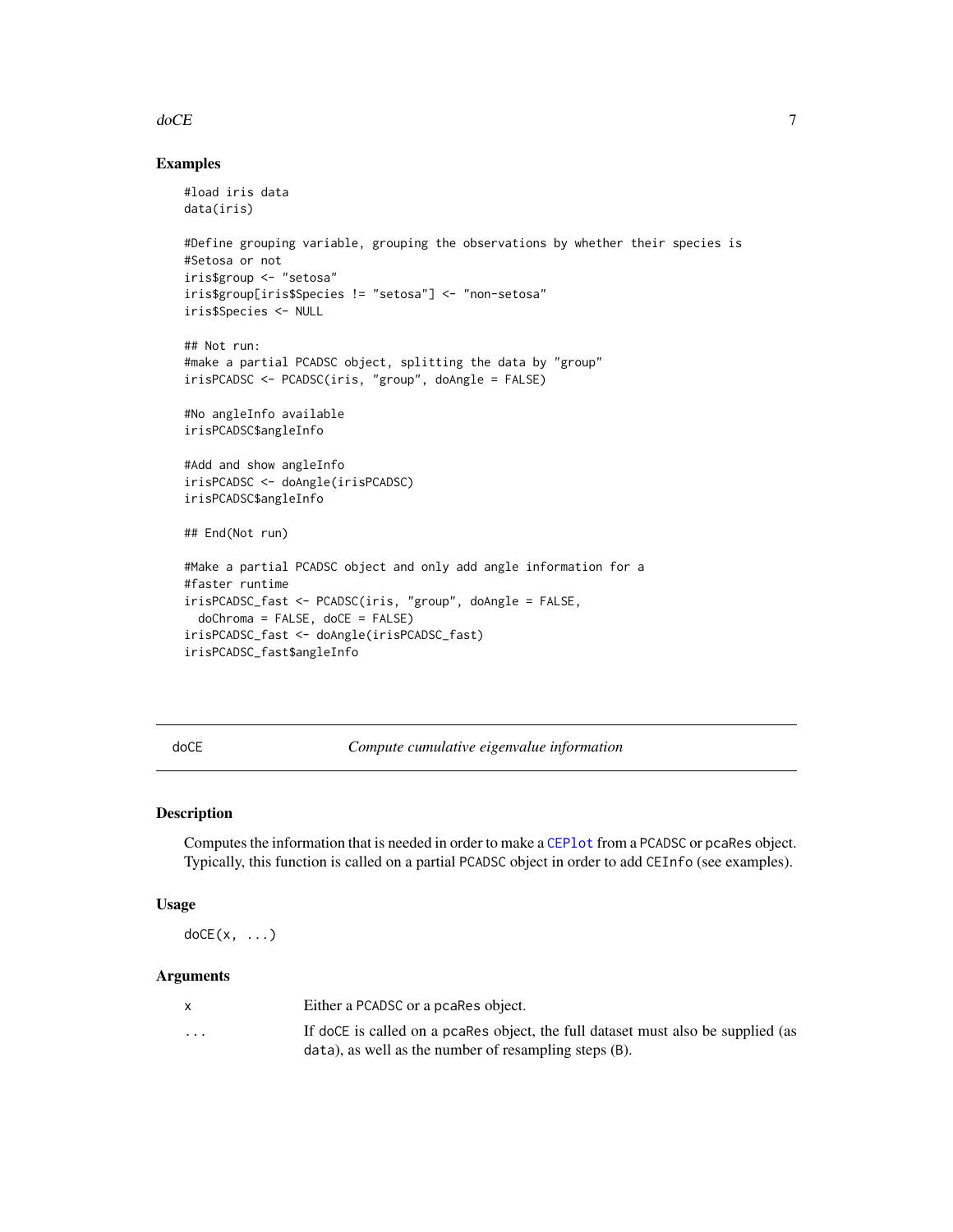#### <span id="page-6-0"></span> $\omega$  do CE  $\omega$  7

#### Examples

```
#load iris data
data(iris)
#Define grouping variable, grouping the observations by whether their species is
#Setosa or not
iris$group <- "setosa"
iris$group[iris$Species != "setosa"] <- "non-setosa"
iris$Species <- NULL
## Not run:
#make a partial PCADSC object, splitting the data by "group"
irisPCADSC <- PCADSC(iris, "group", doAngle = FALSE)
#No angleInfo available
irisPCADSC$angleInfo
#Add and show angleInfo
irisPCADSC <- doAngle(irisPCADSC)
irisPCADSC$angleInfo
## End(Not run)
#Make a partial PCADSC object and only add angle information for a
#faster runtime
irisPCADSC_fast <- PCADSC(iris, "group", doAngle = FALSE,
 doChroma = FALSE, doCE = FALSE)
irisPCADSC_fast <- doAngle(irisPCADSC_fast)
irisPCADSC_fast$angleInfo
```
<span id="page-6-1"></span>doCE *Compute cumulative eigenvalue information*

#### Description

Computes the information that is needed in order to make a [CEPlot](#page-2-1) from a PCADSC or pcaRes object. Typically, this function is called on a partial PCADSC object in order to add CEInfo (see examples).

#### Usage

 $doCE(x, \ldots)$ 

#### Arguments

|                         | Either a PCADSC or a pcaRes object.                                              |
|-------------------------|----------------------------------------------------------------------------------|
| $\cdot$ $\cdot$ $\cdot$ | If doce is called on a pcares object, the full dataset must also be supplied (as |
|                         | data), as well as the number of resampling steps (B).                            |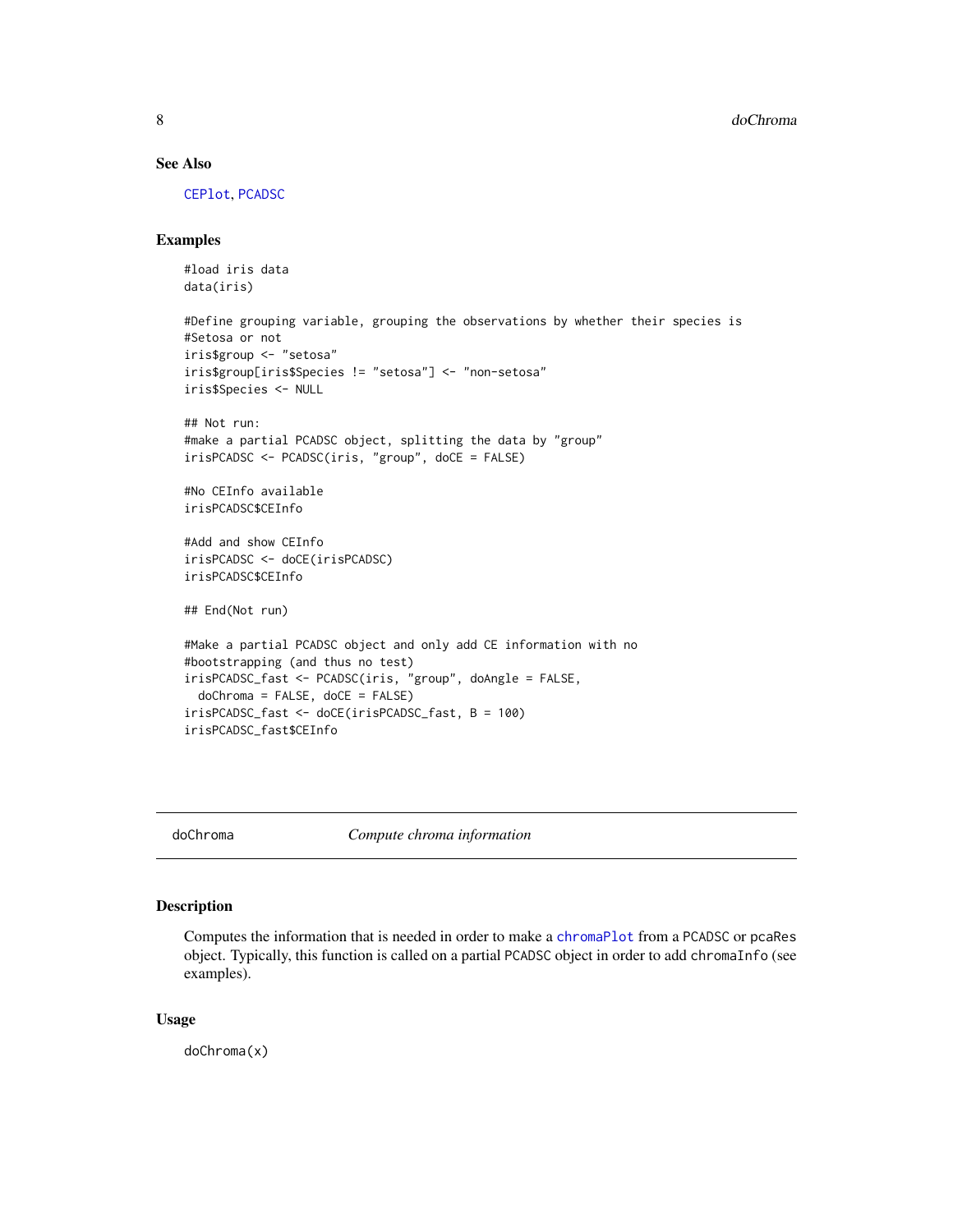#### <span id="page-7-0"></span>See Also

[CEPlot](#page-2-1), [PCADSC](#page-8-1)

#### Examples

```
#load iris data
data(iris)
```

```
#Define grouping variable, grouping the observations by whether their species is
#Setosa or not
iris$group <- "setosa"
iris$group[iris$Species != "setosa"] <- "non-setosa"
iris$Species <- NULL
```

```
## Not run:
#make a partial PCADSC object, splitting the data by "group"
irisPCADSC <- PCADSC(iris, "group", doCE = FALSE)
```

```
#No CEInfo available
irisPCADSC$CEInfo
```

```
#Add and show CEInfo
irisPCADSC <- doCE(irisPCADSC)
irisPCADSC$CEInfo
```

```
## End(Not run)
```

```
#Make a partial PCADSC object and only add CE information with no
#bootstrapping (and thus no test)
irisPCADSC_fast <- PCADSC(iris, "group", doAngle = FALSE,
 doChroma = FALSE, doCE = FALSE)
irisPCADSC_fast <- doCE(irisPCADSC_fast, B = 100)
irisPCADSC_fast$CEInfo
```
<span id="page-7-1"></span>doChroma *Compute chroma information*

#### Description

Computes the information that is needed in order to make a [chromaPlot](#page-3-1) from a PCADSC or pcaRes object. Typically, this function is called on a partial PCADSC object in order to add chromaInfo (see examples).

#### Usage

doChroma(x)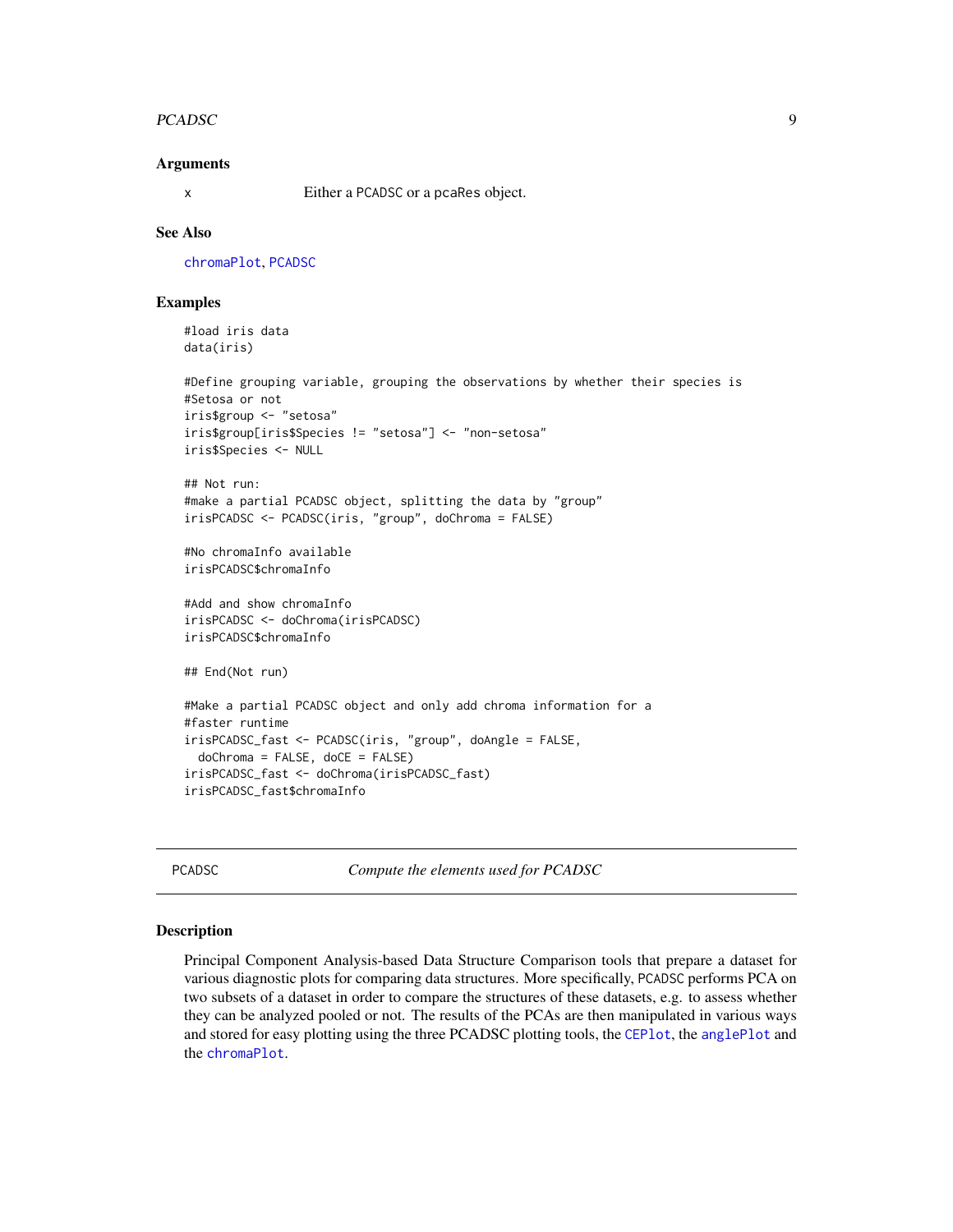#### <span id="page-8-0"></span>PCADSC 9

#### Arguments

x Either a PCADSC or a pcaRes object.

#### See Also

[chromaPlot](#page-3-1), [PCADSC](#page-8-1)

#### Examples

#load iris data data(iris)

```
#Define grouping variable, grouping the observations by whether their species is
#Setosa or not
iris$group <- "setosa"
iris$group[iris$Species != "setosa"] <- "non-setosa"
iris$Species <- NULL
## Not run:
#make a partial PCADSC object, splitting the data by "group"
irisPCADSC <- PCADSC(iris, "group", doChroma = FALSE)
#No chromaInfo available
irisPCADSC$chromaInfo
#Add and show chromaInfo
irisPCADSC <- doChroma(irisPCADSC)
irisPCADSC$chromaInfo
## End(Not run)
#Make a partial PCADSC object and only add chroma information for a
#faster runtime
irisPCADSC_fast <- PCADSC(iris, "group", doAngle = FALSE,
 doChroma = FALSE, doCE = FALSE)
irisPCADSC_fast <- doChroma(irisPCADSC_fast)
irisPCADSC_fast$chromaInfo
```
<span id="page-8-1"></span>PCADSC *Compute the elements used for PCADSC*

#### Description

Principal Component Analysis-based Data Structure Comparison tools that prepare a dataset for various diagnostic plots for comparing data structures. More specifically, PCADSC performs PCA on two subsets of a dataset in order to compare the structures of these datasets, e.g. to assess whether they can be analyzed pooled or not. The results of the PCAs are then manipulated in various ways and stored for easy plotting using the three PCADSC plotting tools, the [CEPlot](#page-2-1), the [anglePlot](#page-1-1) and the [chromaPlot](#page-3-1).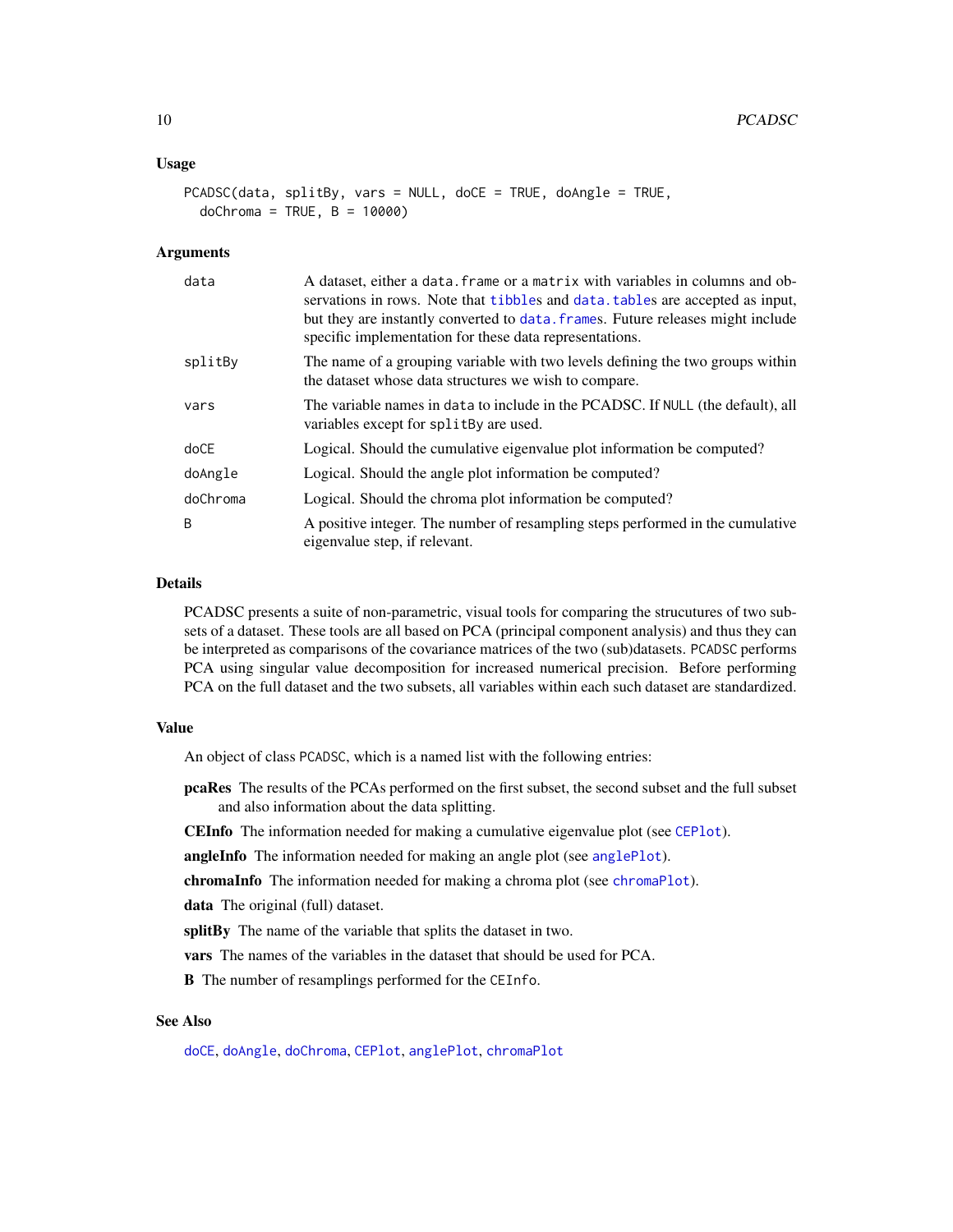#### <span id="page-9-0"></span>Usage

```
PCADSC(data, splitBy, vars = NULL, doCE = TRUE, doAngle = TRUE,
 doChroma = TRUE, B = 10000
```
#### Arguments

| data     | A dataset, either a data. frame or a matrix with variables in columns and ob-<br>servations in rows. Note that tibbles and data, tables are accepted as input,<br>but they are instantly converted to data. frames. Future releases might include<br>specific implementation for these data representations. |
|----------|--------------------------------------------------------------------------------------------------------------------------------------------------------------------------------------------------------------------------------------------------------------------------------------------------------------|
| splitBy  | The name of a grouping variable with two levels defining the two groups within<br>the dataset whose data structures we wish to compare.                                                                                                                                                                      |
| vars     | The variable names in data to include in the PCADSC. If NULL (the default), all<br>variables except for split By are used.                                                                                                                                                                                   |
| doCE     | Logical. Should the cumulative eigenvalue plot information be computed?                                                                                                                                                                                                                                      |
| doAngle  | Logical. Should the angle plot information be computed?                                                                                                                                                                                                                                                      |
| doChroma | Logical. Should the chroma plot information be computed?                                                                                                                                                                                                                                                     |
| B.       | A positive integer. The number of resampling steps performed in the cumulative<br>eigenvalue step, if relevant.                                                                                                                                                                                              |

#### Details

PCADSC presents a suite of non-parametric, visual tools for comparing the strucutures of two subsets of a dataset. These tools are all based on PCA (principal component analysis) and thus they can be interpreted as comparisons of the covariance matrices of the two (sub)datasets. PCADSC performs PCA using singular value decomposition for increased numerical precision. Before performing PCA on the full dataset and the two subsets, all variables within each such dataset are standardized.

#### Value

An object of class PCADSC, which is a named list with the following entries:

pcaRes The results of the PCAs performed on the first subset, the second subset and the full subset and also information about the data splitting.

CEInfo The information needed for making a cumulative eigenvalue plot (see [CEPlot](#page-2-1)).

angleInfo The information needed for making an angle plot (see [anglePlot](#page-1-1)).

chromaInfo The information needed for making a chroma plot (see [chromaPlot](#page-3-1)).

data The original (full) dataset.

splitBy The name of the variable that splits the dataset in two.

vars The names of the variables in the dataset that should be used for PCA.

B The number of resamplings performed for the CEInfo.

#### See Also

[doCE](#page-6-1), [doAngle](#page-5-1), [doChroma](#page-7-1), [CEPlot](#page-2-1), [anglePlot](#page-1-1), [chromaPlot](#page-3-1)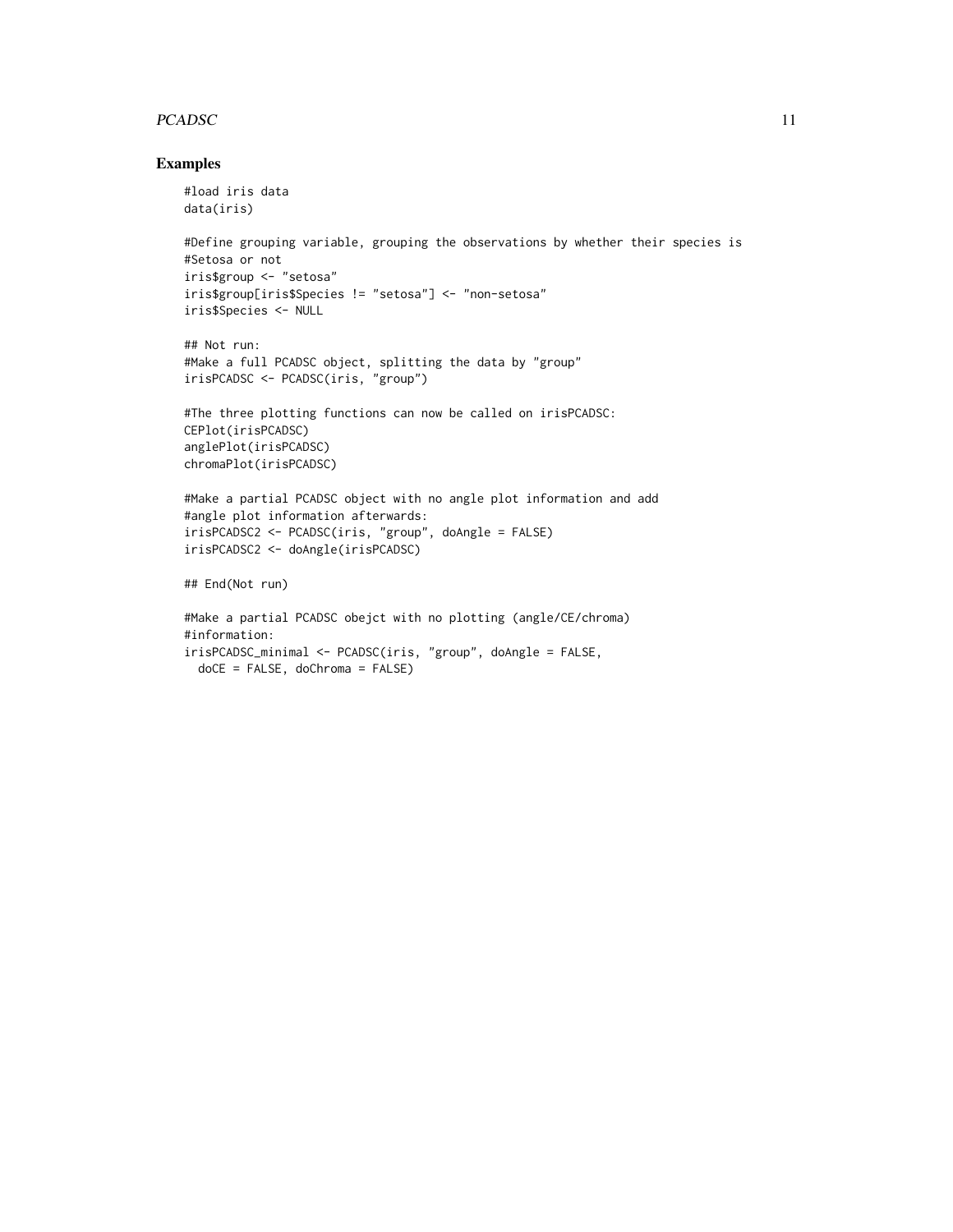#### PCADSC 11

#### Examples

```
#load iris data
data(iris)
#Define grouping variable, grouping the observations by whether their species is
#Setosa or not
iris$group <- "setosa"
iris$group[iris$Species != "setosa"] <- "non-setosa"
iris$Species <- NULL
## Not run:
#Make a full PCADSC object, splitting the data by "group"
irisPCADSC <- PCADSC(iris, "group")
#The three plotting functions can now be called on irisPCADSC:
CEPlot(irisPCADSC)
anglePlot(irisPCADSC)
chromaPlot(irisPCADSC)
#Make a partial PCADSC object with no angle plot information and add
#angle plot information afterwards:
irisPCADSC2 <- PCADSC(iris, "group", doAngle = FALSE)
irisPCADSC2 <- doAngle(irisPCADSC)
## End(Not run)
#Make a partial PCADSC obejct with no plotting (angle/CE/chroma)
#information:
irisPCADSC_minimal <- PCADSC(iris, "group", doAngle = FALSE,
  doCE = FALSE, doChroma = FALSE)
```